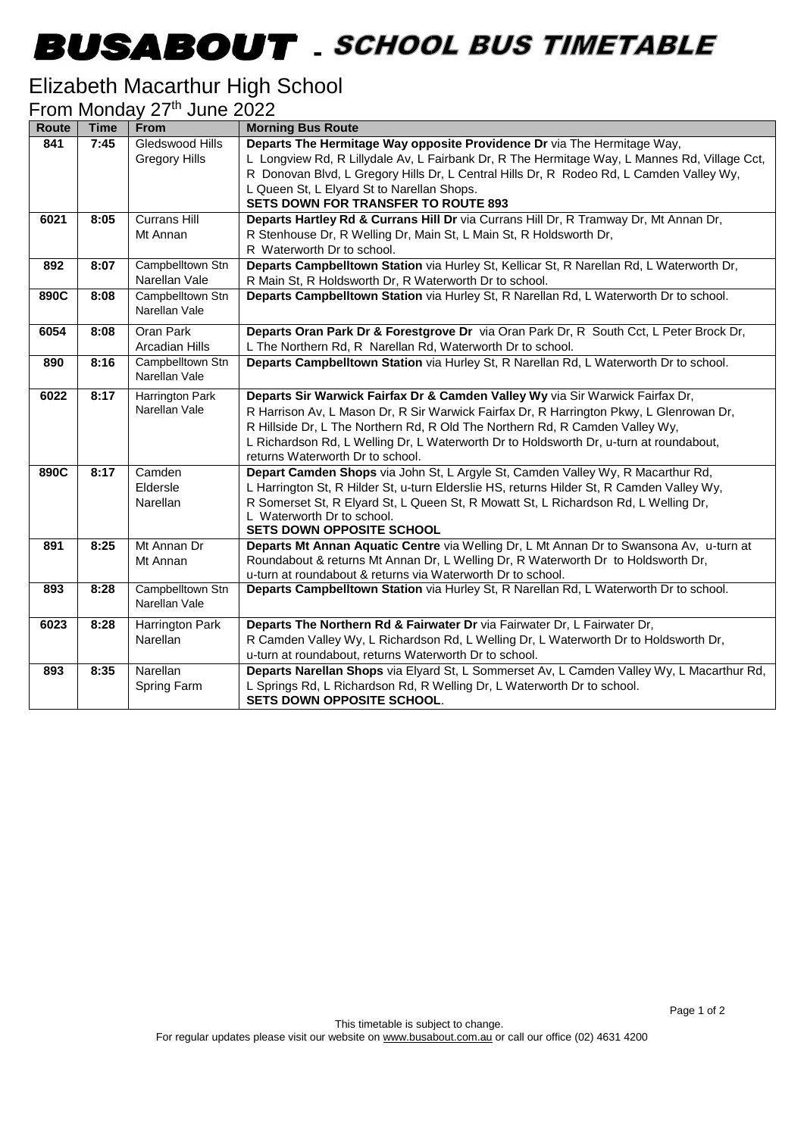## **BUSABOUT** SCHOOL BUS TIMETABLE

#### Elizabeth Macarthur High School

|  | From Monday 27 <sup>th</sup> June 2022 |  |  |  |
|--|----------------------------------------|--|--|--|
|--|----------------------------------------|--|--|--|

| Route | <b>Time</b> | <b>From</b>                       | <b>Morning Bus Route</b>                                                                                                                                                 |
|-------|-------------|-----------------------------------|--------------------------------------------------------------------------------------------------------------------------------------------------------------------------|
| 841   | 7:45        | Gledswood Hills                   | Departs The Hermitage Way opposite Providence Dr via The Hermitage Way,                                                                                                  |
|       |             | <b>Gregory Hills</b>              | L Longview Rd, R Lillydale Av, L Fairbank Dr, R The Hermitage Way, L Mannes Rd, Village Cct,                                                                             |
|       |             |                                   | R Donovan Blvd, L Gregory Hills Dr, L Central Hills Dr, R Rodeo Rd, L Camden Valley Wy,                                                                                  |
|       |             |                                   | L Queen St, L Elyard St to Narellan Shops.                                                                                                                               |
|       |             |                                   | <b>SETS DOWN FOR TRANSFER TO ROUTE 893</b>                                                                                                                               |
| 6021  | 8:05        | <b>Currans Hill</b>               | Departs Hartley Rd & Currans Hill Dr via Currans Hill Dr, R Tramway Dr, Mt Annan Dr,                                                                                     |
|       |             | Mt Annan                          | R Stenhouse Dr, R Welling Dr, Main St, L Main St, R Holdsworth Dr,                                                                                                       |
|       |             |                                   | R Waterworth Dr to school.                                                                                                                                               |
| 892   | 8:07        | Campbelltown Stn                  | Departs Campbelltown Station via Hurley St, Kellicar St, R Narellan Rd, L Waterworth Dr,                                                                                 |
|       |             | Narellan Vale                     | R Main St, R Holdsworth Dr, R Waterworth Dr to school.                                                                                                                   |
| 890C  | 8:08        | Campbelltown Stn<br>Narellan Vale | Departs Campbelltown Station via Hurley St, R Narellan Rd, L Waterworth Dr to school.                                                                                    |
|       |             |                                   |                                                                                                                                                                          |
| 6054  | 8:08        | <b>Oran Park</b>                  | Departs Oran Park Dr & Forestgrove Dr via Oran Park Dr, R South Cct, L Peter Brock Dr,                                                                                   |
|       |             | Arcadian Hills                    | L The Northern Rd, R Narellan Rd, Waterworth Dr to school.                                                                                                               |
| 890   | 8:16        | Campbelltown Stn<br>Narellan Vale | Departs Campbelltown Station via Hurley St, R Narellan Rd, L Waterworth Dr to school.                                                                                    |
|       |             |                                   |                                                                                                                                                                          |
| 6022  | 8:17        | Harrington Park<br>Narellan Vale  | Departs Sir Warwick Fairfax Dr & Camden Valley Wy via Sir Warwick Fairfax Dr,<br>R Harrison Av, L Mason Dr, R Sir Warwick Fairfax Dr, R Harrington Pkwy, L Glenrowan Dr, |
|       |             |                                   | R Hillside Dr, L The Northern Rd, R Old The Northern Rd, R Camden Valley Wy,                                                                                             |
|       |             |                                   | L Richardson Rd, L Welling Dr, L Waterworth Dr to Holdsworth Dr, u-turn at roundabout,                                                                                   |
|       |             |                                   | returns Waterworth Dr to school.                                                                                                                                         |
| 890C  | 8:17        | Camden                            | Depart Camden Shops via John St, L Argyle St, Camden Valley Wy, R Macarthur Rd,                                                                                          |
|       |             | Eldersle                          | L Harrington St, R Hilder St, u-turn Elderslie HS, returns Hilder St, R Camden Valley Wy,                                                                                |
|       |             | Narellan                          | R Somerset St, R Elyard St, L Queen St, R Mowatt St, L Richardson Rd, L Welling Dr,                                                                                      |
|       |             |                                   | L Waterworth Dr to school.                                                                                                                                               |
|       |             |                                   | <b>SETS DOWN OPPOSITE SCHOOL</b>                                                                                                                                         |
| 891   | 8:25        | Mt Annan Dr                       | Departs Mt Annan Aquatic Centre via Welling Dr, L Mt Annan Dr to Swansona Av, u-turn at                                                                                  |
|       |             | Mt Annan                          | Roundabout & returns Mt Annan Dr, L Welling Dr, R Waterworth Dr to Holdsworth Dr,                                                                                        |
|       |             |                                   | u-turn at roundabout & returns via Waterworth Dr to school.                                                                                                              |
| 893   | 8:28        | Campbelltown Stn<br>Narellan Vale | Departs Campbelltown Station via Hurley St, R Narellan Rd, L Waterworth Dr to school.                                                                                    |
| 6023  | 8:28        | Harrington Park                   | Departs The Northern Rd & Fairwater Dr via Fairwater Dr, L Fairwater Dr,                                                                                                 |
|       |             | <b>Narellan</b>                   | R Camden Valley Wy, L Richardson Rd, L Welling Dr, L Waterworth Dr to Holdsworth Dr,                                                                                     |
|       |             |                                   | u-turn at roundabout, returns Waterworth Dr to school.                                                                                                                   |
| 893   | 8:35        | Narellan                          | Departs Narellan Shops via Elyard St, L Sommerset Av, L Camden Valley Wy, L Macarthur Rd,                                                                                |
|       |             | Spring Farm                       | L Springs Rd, L Richardson Rd, R Welling Dr, L Waterworth Dr to school.                                                                                                  |
|       |             |                                   | SETS DOWN OPPOSITE SCHOOL.                                                                                                                                               |